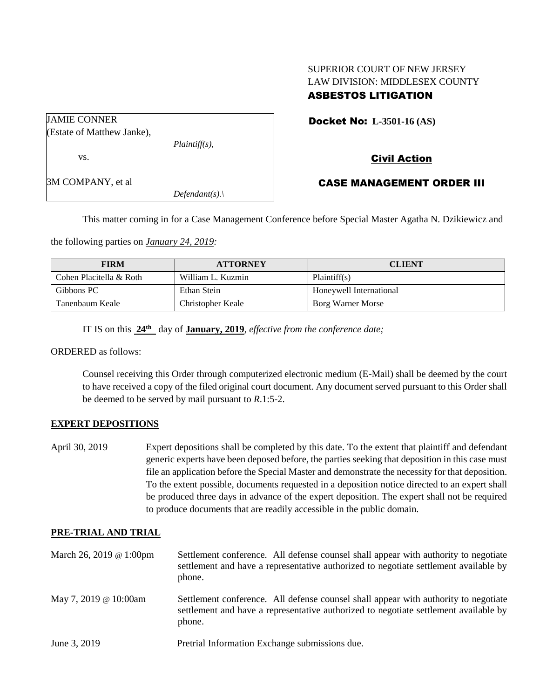# SUPERIOR COURT OF NEW JERSEY LAW DIVISION: MIDDLESEX COUNTY ASBESTOS LITIGATION

| JAMIE CONNER               |                  |  |
|----------------------------|------------------|--|
| (Estate of Matthew Janke), |                  |  |
|                            | $Plaintiff(s)$ , |  |
| VS.                        |                  |  |
| 3M COMPANY, et al          |                  |  |
|                            | $Defendant(s)$ . |  |

#### Docket No: **L-3501-16 (AS)**

## Civil Action

### CASE MANAGEMENT ORDER III

This matter coming in for a Case Management Conference before Special Master Agatha N. Dzikiewicz and

the following parties on *January 24, 2019:*

| <b>FIRM</b>             | <b>ATTORNEY</b>   | <b>CLIENT</b>           |
|-------------------------|-------------------|-------------------------|
| Cohen Placitella & Roth | William L. Kuzmin | Plaintiff(s)            |
| Gibbons PC              | Ethan Stein       | Honeywell International |
| Tanenbaum Keale         | Christopher Keale | Borg Warner Morse       |

IT IS on this **24th** day of **January, 2019**, *effective from the conference date;*

ORDERED as follows:

Counsel receiving this Order through computerized electronic medium (E-Mail) shall be deemed by the court to have received a copy of the filed original court document. Any document served pursuant to this Order shall be deemed to be served by mail pursuant to *R*.1:5-2.

### **EXPERT DEPOSITIONS**

April 30, 2019 Expert depositions shall be completed by this date. To the extent that plaintiff and defendant generic experts have been deposed before, the parties seeking that deposition in this case must file an application before the Special Master and demonstrate the necessity for that deposition. To the extent possible, documents requested in a deposition notice directed to an expert shall be produced three days in advance of the expert deposition. The expert shall not be required to produce documents that are readily accessible in the public domain.

#### **PRE-TRIAL AND TRIAL**

| March 26, 2019 @ 1:00pm | Settlement conference. All defense counsel shall appear with authority to negotiate<br>settlement and have a representative authorized to negotiate settlement available by<br>phone. |
|-------------------------|---------------------------------------------------------------------------------------------------------------------------------------------------------------------------------------|
| May 7, 2019 @ 10:00am   | Settlement conference. All defense counsel shall appear with authority to negotiate<br>settlement and have a representative authorized to negotiate settlement available by<br>phone. |
| June 3, 2019            | Pretrial Information Exchange submissions due.                                                                                                                                        |